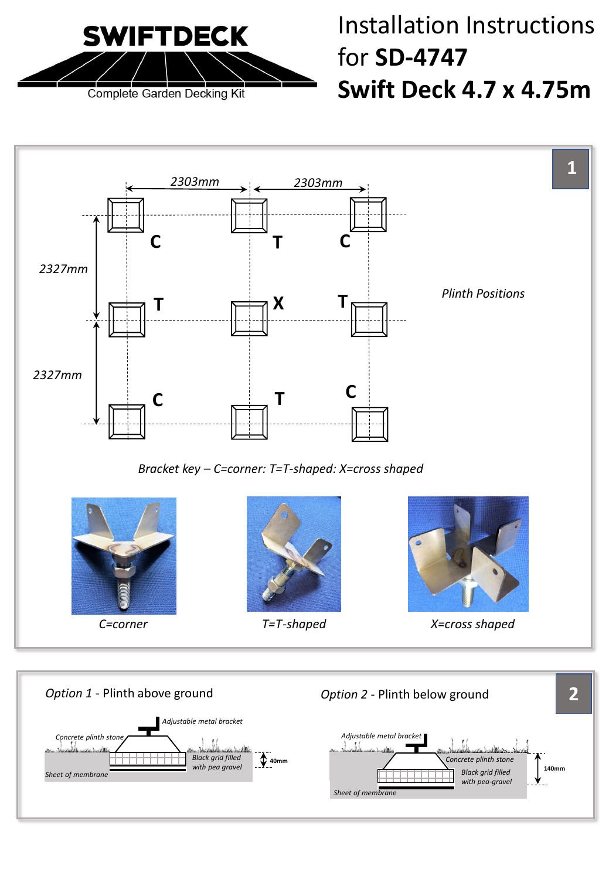

## Installation Instructions for **SD-4747 Swift Deck 4.7 x 4.75m**

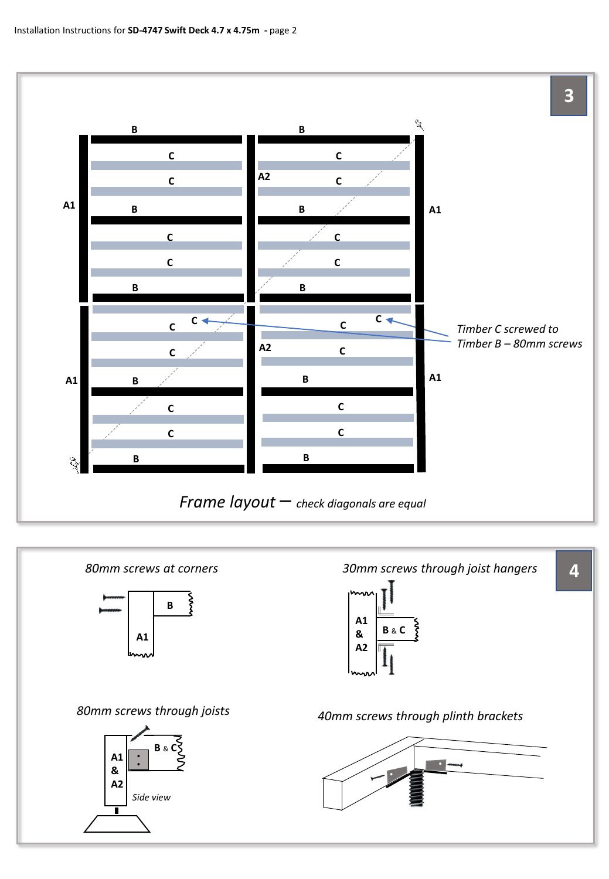